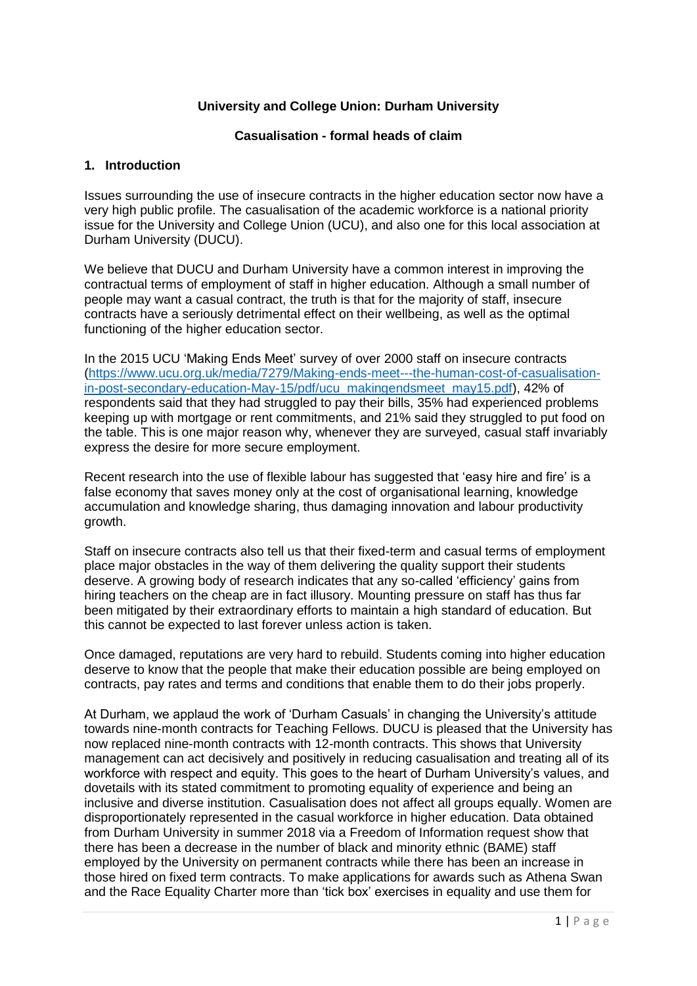## **University and College Union: Durham University**

#### **Casualisation - formal heads of claim**

#### **1. Introduction**

Issues surrounding the use of insecure contracts in the higher education sector now have a very high public profile. The casualisation of the academic workforce is a national priority issue for the University and College Union (UCU), and also one for this local association at Durham University (DUCU).

We believe that DUCU and Durham University have a common interest in improving the contractual terms of employment of staff in higher education. Although a small number of people may want a casual contract, the truth is that for the majority of staff, insecure contracts have a seriously detrimental effect on their wellbeing, as well as the optimal functioning of the higher education sector.

In the 2015 UCU 'Making Ends Meet' survey of over 2000 staff on insecure contracts [\(https://www.ucu.org.uk/media/7279/Making-ends-meet---the-human-cost-of-casualisation](https://www.ucu.org.uk/media/7279/Making-ends-meet---the-human-cost-of-casualisation-in-post-secondary-education-May-15/pdf/ucu_makingendsmeet_may15.pdf)[in-post-secondary-education-May-15/pdf/ucu\\_makingendsmeet\\_may15.pdf\)](https://www.ucu.org.uk/media/7279/Making-ends-meet---the-human-cost-of-casualisation-in-post-secondary-education-May-15/pdf/ucu_makingendsmeet_may15.pdf), 42% of respondents said that they had struggled to pay their bills, 35% had experienced problems keeping up with mortgage or rent commitments, and 21% said they struggled to put food on the table. This is one major reason why, whenever they are surveyed, casual staff invariably express the desire for more secure employment.

Recent research into the use of flexible labour has suggested that 'easy hire and fire' is a false economy that saves money only at the cost of organisational learning, knowledge accumulation and knowledge sharing, thus damaging innovation and labour productivity growth.

Staff on insecure contracts also tell us that their fixed-term and casual terms of employment place major obstacles in the way of them delivering the quality support their students deserve. A growing body of research indicates that any so-called 'efficiency' gains from hiring teachers on the cheap are in fact illusory. Mounting pressure on staff has thus far been mitigated by their extraordinary efforts to maintain a high standard of education. But this cannot be expected to last forever unless action is taken.

Once damaged, reputations are very hard to rebuild. Students coming into higher education deserve to know that the people that make their education possible are being employed on contracts, pay rates and terms and conditions that enable them to do their jobs properly.

At Durham, we applaud the work of 'Durham Casuals' in changing the University's attitude towards nine-month contracts for Teaching Fellows. DUCU is pleased that the University has now replaced nine-month contracts with 12-month contracts. This shows that University management can act decisively and positively in reducing casualisation and treating all of its workforce with respect and equity. This goes to the heart of Durham University's values, and dovetails with its stated commitment to promoting equality of experience and being an inclusive and diverse institution. Casualisation does not affect all groups equally. Women are disproportionately represented in the casual workforce in higher education. Data obtained from Durham University in summer 2018 via a Freedom of Information request show that there has been a decrease in the number of black and minority ethnic (BAME) staff employed by the University on permanent contracts while there has been an increase in those hired on fixed term contracts. To make applications for awards such as Athena Swan and the Race Equality Charter more than 'tick box' exercises in equality and use them for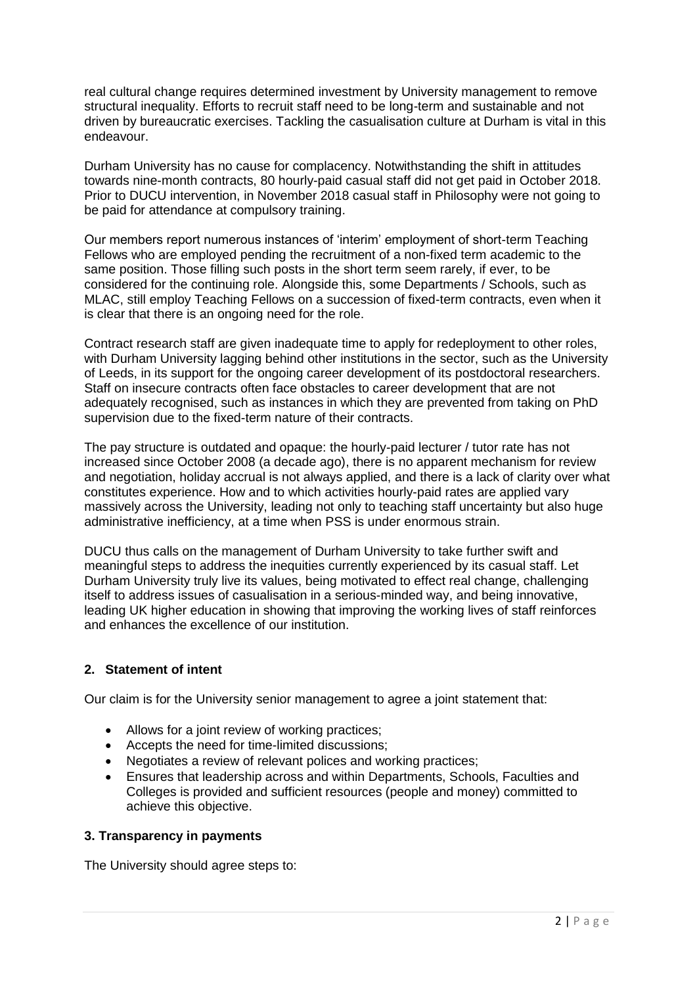real cultural change requires determined investment by University management to remove structural inequality. Efforts to recruit staff need to be long-term and sustainable and not driven by bureaucratic exercises. Tackling the casualisation culture at Durham is vital in this endeavour.

Durham University has no cause for complacency. Notwithstanding the shift in attitudes towards nine-month contracts, 80 hourly-paid casual staff did not get paid in October 2018. Prior to DUCU intervention, in November 2018 casual staff in Philosophy were not going to be paid for attendance at compulsory training.

Our members report numerous instances of 'interim' employment of short-term Teaching Fellows who are employed pending the recruitment of a non-fixed term academic to the same position. Those filling such posts in the short term seem rarely, if ever, to be considered for the continuing role. Alongside this, some Departments / Schools, such as MLAC, still employ Teaching Fellows on a succession of fixed-term contracts, even when it is clear that there is an ongoing need for the role.

Contract research staff are given inadequate time to apply for redeployment to other roles, with Durham University lagging behind other institutions in the sector, such as the University of Leeds, in its support for the ongoing career development of its postdoctoral researchers. Staff on insecure contracts often face obstacles to career development that are not adequately recognised, such as instances in which they are prevented from taking on PhD supervision due to the fixed-term nature of their contracts.

The pay structure is outdated and opaque: the hourly-paid lecturer / tutor rate has not increased since October 2008 (a decade ago), there is no apparent mechanism for review and negotiation, holiday accrual is not always applied, and there is a lack of clarity over what constitutes experience. How and to which activities hourly-paid rates are applied vary massively across the University, leading not only to teaching staff uncertainty but also huge administrative inefficiency, at a time when PSS is under enormous strain.

DUCU thus calls on the management of Durham University to take further swift and meaningful steps to address the inequities currently experienced by its casual staff. Let Durham University truly live its values, being motivated to effect real change, challenging itself to address issues of casualisation in a serious-minded way, and being innovative, leading UK higher education in showing that improving the working lives of staff reinforces and enhances the excellence of our institution.

# **2. Statement of intent**

Our claim is for the University senior management to agree a joint statement that:

- Allows for a joint review of working practices:
- Accepts the need for time-limited discussions;
- Negotiates a review of relevant polices and working practices;
- Ensures that leadership across and within Departments, Schools, Faculties and Colleges is provided and sufficient resources (people and money) committed to achieve this objective.

# **3. Transparency in payments**

The University should agree steps to: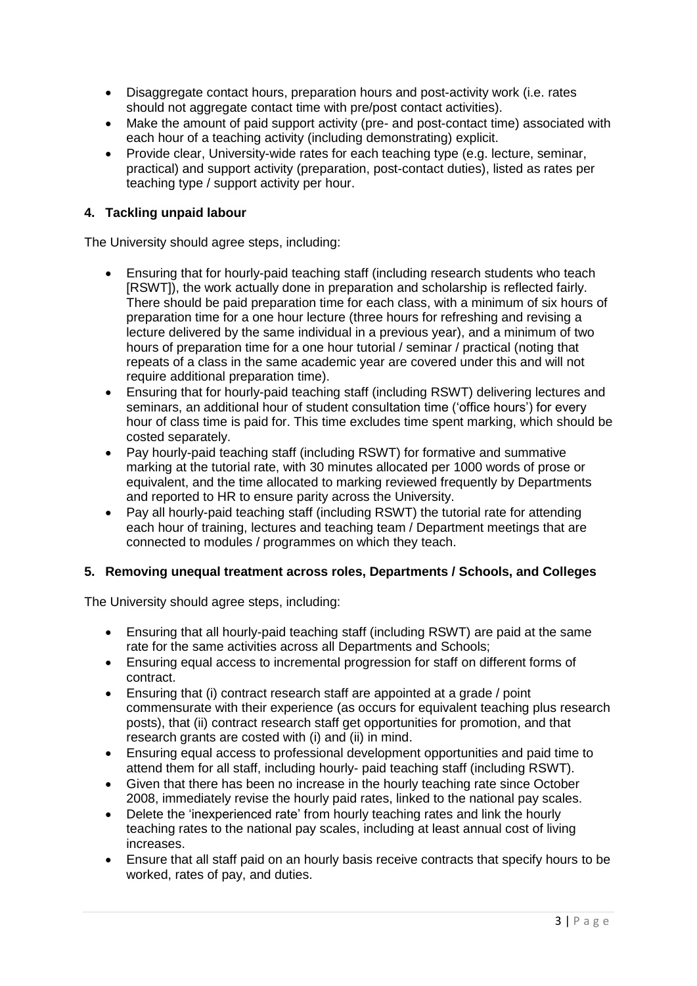- Disaggregate contact hours, preparation hours and post-activity work (i.e. rates should not aggregate contact time with pre/post contact activities).
- Make the amount of paid support activity (pre- and post-contact time) associated with each hour of a teaching activity (including demonstrating) explicit.
- Provide clear, University-wide rates for each teaching type (e.g. lecture, seminar, practical) and support activity (preparation, post-contact duties), listed as rates per teaching type / support activity per hour.

## **4. Tackling unpaid labour**

The University should agree steps, including:

- Ensuring that for hourly-paid teaching staff (including research students who teach [RSWT]), the work actually done in preparation and scholarship is reflected fairly. There should be paid preparation time for each class, with a minimum of six hours of preparation time for a one hour lecture (three hours for refreshing and revising a lecture delivered by the same individual in a previous year), and a minimum of two hours of preparation time for a one hour tutorial / seminar / practical (noting that repeats of a class in the same academic year are covered under this and will not require additional preparation time).
- Ensuring that for hourly-paid teaching staff (including RSWT) delivering lectures and seminars, an additional hour of student consultation time ('office hours') for every hour of class time is paid for. This time excludes time spent marking, which should be costed separately.
- Pay hourly-paid teaching staff (including RSWT) for formative and summative marking at the tutorial rate, with 30 minutes allocated per 1000 words of prose or equivalent, and the time allocated to marking reviewed frequently by Departments and reported to HR to ensure parity across the University.
- Pay all hourly-paid teaching staff (including RSWT) the tutorial rate for attending each hour of training, lectures and teaching team / Department meetings that are connected to modules / programmes on which they teach.

## **5. Removing unequal treatment across roles, Departments / Schools, and Colleges**

The University should agree steps, including:

- Ensuring that all hourly-paid teaching staff (including RSWT) are paid at the same rate for the same activities across all Departments and Schools;
- Ensuring equal access to incremental progression for staff on different forms of contract.
- Ensuring that (i) contract research staff are appointed at a grade / point commensurate with their experience (as occurs for equivalent teaching plus research posts), that (ii) contract research staff get opportunities for promotion, and that research grants are costed with (i) and (ii) in mind.
- Ensuring equal access to professional development opportunities and paid time to attend them for all staff, including hourly- paid teaching staff (including RSWT).
- Given that there has been no increase in the hourly teaching rate since October 2008, immediately revise the hourly paid rates, linked to the national pay scales.
- Delete the 'inexperienced rate' from hourly teaching rates and link the hourly teaching rates to the national pay scales, including at least annual cost of living increases.
- Ensure that all staff paid on an hourly basis receive contracts that specify hours to be worked, rates of pay, and duties.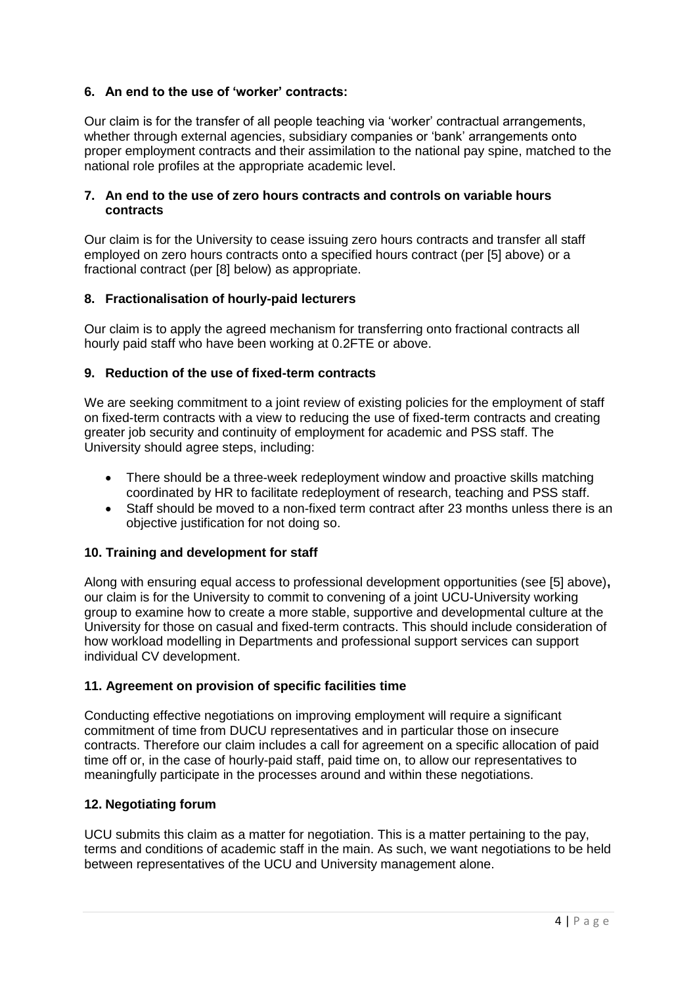# **6. An end to the use of 'worker' contracts:**

Our claim is for the transfer of all people teaching via 'worker' contractual arrangements, whether through external agencies, subsidiary companies or 'bank' arrangements onto proper employment contracts and their assimilation to the national pay spine, matched to the national role profiles at the appropriate academic level.

#### **7. An end to the use of zero hours contracts and controls on variable hours contracts**

Our claim is for the University to cease issuing zero hours contracts and transfer all staff employed on zero hours contracts onto a specified hours contract (per [5] above) or a fractional contract (per [8] below) as appropriate.

#### **8. Fractionalisation of hourly-paid lecturers**

Our claim is to apply the agreed mechanism for transferring onto fractional contracts all hourly paid staff who have been working at 0.2FTE or above.

#### **9. Reduction of the use of fixed-term contracts**

We are seeking commitment to a joint review of existing policies for the employment of staff on fixed-term contracts with a view to reducing the use of fixed-term contracts and creating greater job security and continuity of employment for academic and PSS staff. The University should agree steps, including:

- There should be a three-week redeployment window and proactive skills matching coordinated by HR to facilitate redeployment of research, teaching and PSS staff.
- Staff should be moved to a non-fixed term contract after 23 months unless there is an objective justification for not doing so.

## **10. Training and development for staff**

Along with ensuring equal access to professional development opportunities (see [5] above)**,**  our claim is for the University to commit to convening of a joint UCU-University working group to examine how to create a more stable, supportive and developmental culture at the University for those on casual and fixed-term contracts. This should include consideration of how workload modelling in Departments and professional support services can support individual CV development.

## **11. Agreement on provision of specific facilities time**

Conducting effective negotiations on improving employment will require a significant commitment of time from DUCU representatives and in particular those on insecure contracts. Therefore our claim includes a call for agreement on a specific allocation of paid time off or, in the case of hourly-paid staff, paid time on, to allow our representatives to meaningfully participate in the processes around and within these negotiations.

## **12. Negotiating forum**

UCU submits this claim as a matter for negotiation. This is a matter pertaining to the pay, terms and conditions of academic staff in the main. As such, we want negotiations to be held between representatives of the UCU and University management alone.